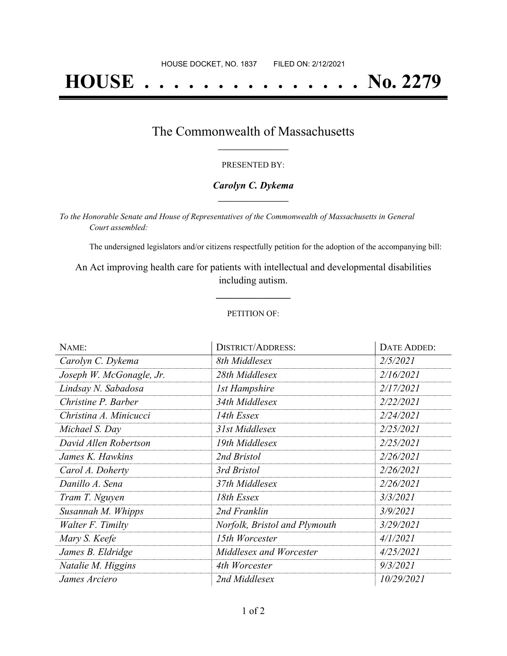# **HOUSE . . . . . . . . . . . . . . . No. 2279**

### The Commonwealth of Massachusetts **\_\_\_\_\_\_\_\_\_\_\_\_\_\_\_\_\_**

#### PRESENTED BY:

#### *Carolyn C. Dykema* **\_\_\_\_\_\_\_\_\_\_\_\_\_\_\_\_\_**

*To the Honorable Senate and House of Representatives of the Commonwealth of Massachusetts in General Court assembled:*

The undersigned legislators and/or citizens respectfully petition for the adoption of the accompanying bill:

An Act improving health care for patients with intellectual and developmental disabilities including autism.

**\_\_\_\_\_\_\_\_\_\_\_\_\_\_\_**

#### PETITION OF:

| NAME:                    | <b>DISTRICT/ADDRESS:</b>      | DATE ADDED: |
|--------------------------|-------------------------------|-------------|
| Carolyn C. Dykema        | 8th Middlesex                 | 2/5/2021    |
| Joseph W. McGonagle, Jr. | 28th Middlesex                | 2/16/2021   |
| Lindsay N. Sabadosa      | <b>1st Hampshire</b>          | 2/17/2021   |
| Christine P. Barber      | 34th Middlesex                | 2/22/2021   |
| Christina A. Minicucci   | 14th Essex                    | 2/24/2021   |
| Michael S. Day           | 31st Middlesex                | 2/25/2021   |
| David Allen Robertson    | 19th Middlesex                | 2/25/2021   |
| James K. Hawkins         | 2nd Bristol                   | 2/26/2021   |
| Carol A. Doherty         | 3rd Bristol                   | 2/26/2021   |
| Danillo A. Sena          | 37th Middlesex                | 2/26/2021   |
| Tram T. Nguyen           | 18th Essex                    | 3/3/2021    |
| Susannah M. Whipps       | 2nd Franklin                  | 3/9/2021    |
| Walter F. Timilty        | Norfolk, Bristol and Plymouth | 3/29/2021   |
| Mary S. Keefe            | 15th Worcester                | 4/1/2021    |
| James B. Eldridge        | Middlesex and Worcester       | 4/25/2021   |
| Natalie M. Higgins       | 4th Worcester                 | 9/3/2021    |
| James Arciero            | 2nd Middlesex                 | 10/29/2021  |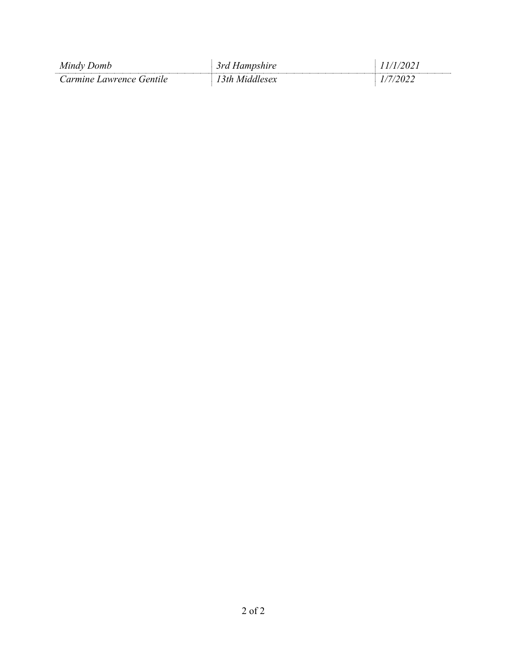| Mindy Domb               | 3rd Hampshire  | (1/2021)<br>$\overline{\phantom{a}}$ |
|--------------------------|----------------|--------------------------------------|
| Carmine Lawrence Gentile | 13th Middlesex | 2112                                 |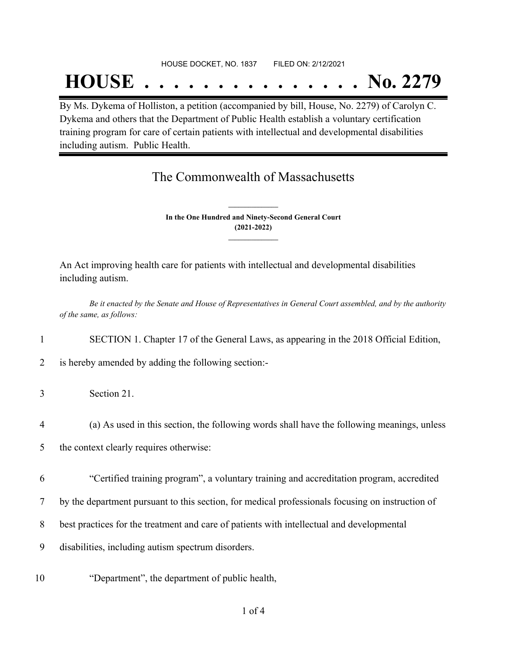#### HOUSE DOCKET, NO. 1837 FILED ON: 2/12/2021

## **HOUSE . . . . . . . . . . . . . . . No. 2279**

By Ms. Dykema of Holliston, a petition (accompanied by bill, House, No. 2279) of Carolyn C. Dykema and others that the Department of Public Health establish a voluntary certification training program for care of certain patients with intellectual and developmental disabilities including autism. Public Health.

## The Commonwealth of Massachusetts

**In the One Hundred and Ninety-Second General Court (2021-2022) \_\_\_\_\_\_\_\_\_\_\_\_\_\_\_**

**\_\_\_\_\_\_\_\_\_\_\_\_\_\_\_**

An Act improving health care for patients with intellectual and developmental disabilities including autism.

Be it enacted by the Senate and House of Representatives in General Court assembled, and by the authority *of the same, as follows:*

1 SECTION 1. Chapter 17 of the General Laws, as appearing in the 2018 Official Edition,

- 2 is hereby amended by adding the following section:-
- 3 Section 21.
- 4 (a) As used in this section, the following words shall have the following meanings, unless
- 5 the context clearly requires otherwise:
- 6 "Certified training program", a voluntary training and accreditation program, accredited
- 7 by the department pursuant to this section, for medical professionals focusing on instruction of
- 8 best practices for the treatment and care of patients with intellectual and developmental
- 9 disabilities, including autism spectrum disorders.
- 10 "Department", the department of public health,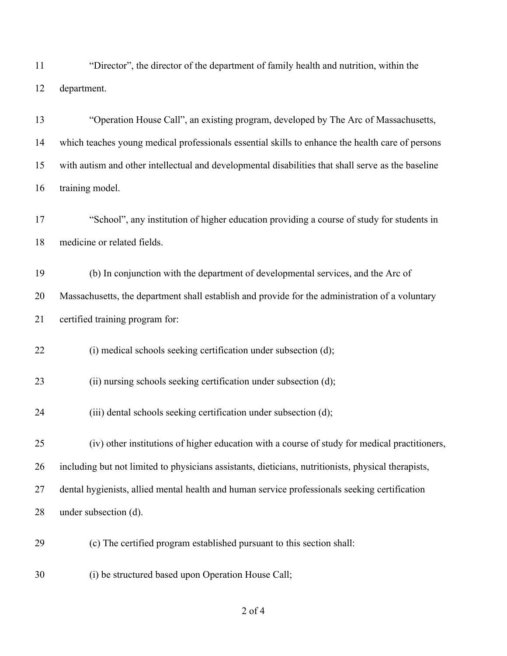"Director", the director of the department of family health and nutrition, within the department.

 "Operation House Call", an existing program, developed by The Arc of Massachusetts, which teaches young medical professionals essential skills to enhance the health care of persons with autism and other intellectual and developmental disabilities that shall serve as the baseline training model.

 "School", any institution of higher education providing a course of study for students in medicine or related fields.

 (b) In conjunction with the department of developmental services, and the Arc of Massachusetts, the department shall establish and provide for the administration of a voluntary certified training program for:

22 (i) medical schools seeking certification under subsection (d);

23 (ii) nursing schools seeking certification under subsection (d);

24 (iii) dental schools seeking certification under subsection (d);

 (iv) other institutions of higher education with a course of study for medical practitioners, including but not limited to physicians assistants, dieticians, nutritionists, physical therapists, dental hygienists, allied mental health and human service professionals seeking certification under subsection (d).

(c) The certified program established pursuant to this section shall:

(i) be structured based upon Operation House Call;

of 4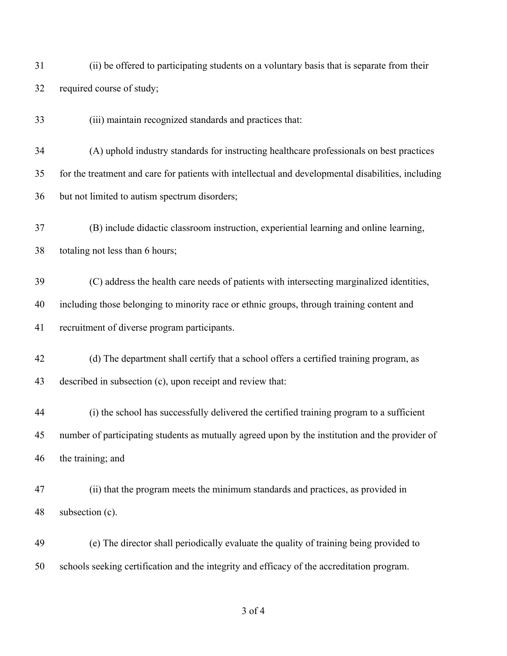(ii) be offered to participating students on a voluntary basis that is separate from their required course of study;

(iii) maintain recognized standards and practices that:

 (A) uphold industry standards for instructing healthcare professionals on best practices for the treatment and care for patients with intellectual and developmental disabilities, including but not limited to autism spectrum disorders;

 (B) include didactic classroom instruction, experiential learning and online learning, totaling not less than 6 hours;

 (C) address the health care needs of patients with intersecting marginalized identities, including those belonging to minority race or ethnic groups, through training content and recruitment of diverse program participants.

 (d) The department shall certify that a school offers a certified training program, as described in subsection (c), upon receipt and review that:

 (i) the school has successfully delivered the certified training program to a sufficient number of participating students as mutually agreed upon by the institution and the provider of the training; and

 (ii) that the program meets the minimum standards and practices, as provided in subsection (c).

 (e) The director shall periodically evaluate the quality of training being provided to schools seeking certification and the integrity and efficacy of the accreditation program.

of 4